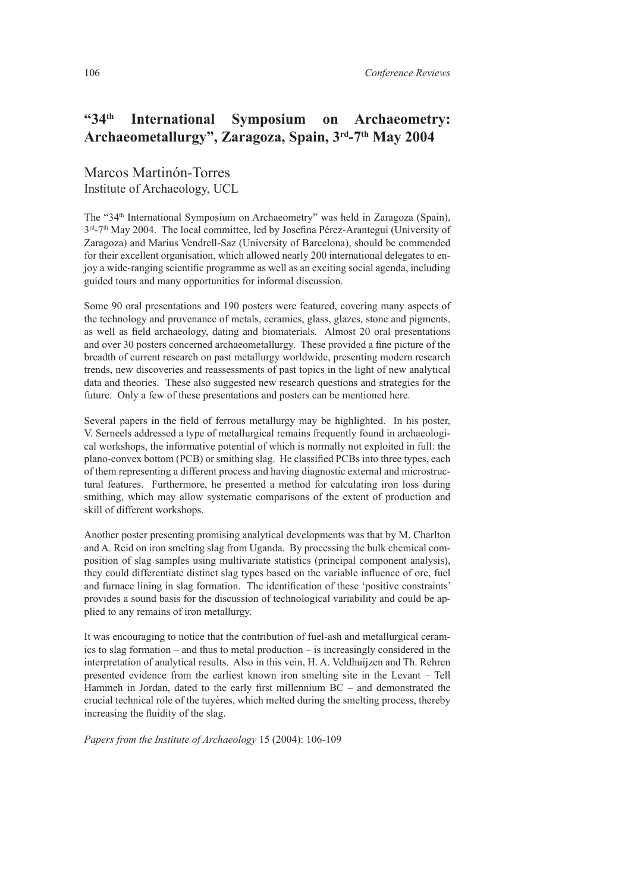## **"34th International Symposium on Archaeometry: Archaeometallurgy", Zaragoza, Spain, 3rd-7th May 2004**

Marcos Martinón-Torres Institute of Archaeology, UCL

The "34th International Symposium on Archaeometry" was held in Zaragoza (Spain), 3<sup>rd</sup>-7<sup>th</sup> May 2004. The local committee, led by Josefina Pérez-Arantegui (University of Zaragoza) and Marius Vendrell-Saz (University of Barcelona), should be commended for their excellent organisation, which allowed nearly 200 international delegates to enjoy a wide-ranging scientific programme as well as an exciting social agenda, including guided tours and many opportunities for informal discussion.

Some 90 oral presentations and 190 posters were featured, covering many aspects of the technology and provenance of metals, ceramics, glass, glazes, stone and pigments, as well as field archaeology, dating and biomaterials. Almost 20 oral presentations and over 30 posters concerned archaeometallurgy. These provided a fine picture of the breadth of current research on past metallurgy worldwide, presenting modern research trends, new discoveries and reassessments of past topics in the light of new analytical data and theories. These also suggested new research questions and strategies for the future. Only a few of these presentations and posters can be mentioned here.

Several papers in the field of ferrous metallurgy may be highlighted. In his poster, V. Serneels addressed a type of metallurgical remains frequently found in archaeological workshops, the informative potential of which is normally not exploited in full: the plano-convex bottom (PCB) or smithing slag. He classified PCBs into three types, each of them representing a different process and having diagnostic external and microstructural features. Furthermore, he presented a method for calculating iron loss during smithing, which may allow systematic comparisons of the extent of production and skill of different workshops.

Another poster presenting promising analytical developments was that by M. Charlton and A. Reid on iron smelting slag from Uganda. By processing the bulk chemical composition of slag samples using multivariate statistics (principal component analysis), they could differentiate distinct slag types based on the variable influence of ore, fuel and furnace lining in slag formation. The identification of these 'positive constraints' provides a sound basis for the discussion of technological variability and could be applied to any remains of iron metallurgy.

It was encouraging to notice that the contribution of fuel-ash and metallurgical ceramics to slag formation – and thus to metal production – is increasingly considered in the interpretation of analytical results. Also in this vein, H. A. Veldhuijzen and Th. Rehren presented evidence from the earliest known iron smelting site in the Levant – Tell Hammeh in Jordan, dated to the early first millennium BC – and demonstrated the crucial technical role of the tuyères, which melted during the smelting process, thereby increasing the fluidity of the slag.

*Papers from the Institute of Archaeology* 15 (2004): 106-109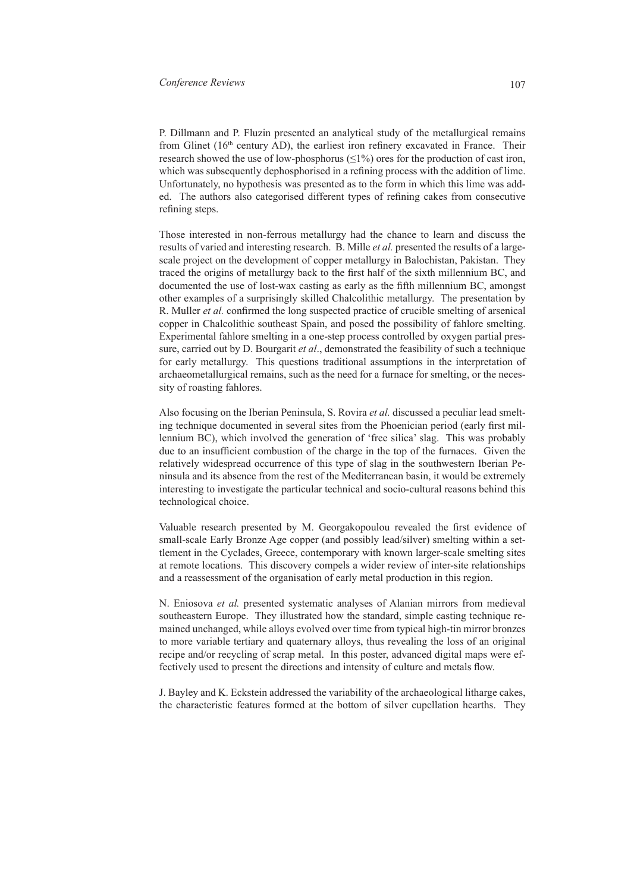P. Dillmann and P. Fluzin presented an analytical study of the metallurgical remains from Glinet  $(16<sup>th</sup>$  century AD), the earliest iron refinery excavated in France. Their research showed the use of low-phosphorus  $(\leq 1\%)$  ores for the production of cast iron, which was subsequently dephosphorised in a refining process with the addition of lime. Unfortunately, no hypothesis was presented as to the form in which this lime was added. The authors also categorised different types of refining cakes from consecutive refining steps.

Those interested in non-ferrous metallurgy had the chance to learn and discuss the results of varied and interesting research. B. Mille *et al.* presented the results of a largescale project on the development of copper metallurgy in Balochistan, Pakistan. They traced the origins of metallurgy back to the first half of the sixth millennium BC, and documented the use of lost-wax casting as early as the fifth millennium BC, amongst other examples of a surprisingly skilled Chalcolithic metallurgy. The presentation by R. Muller *et al.* confirmed the long suspected practice of crucible smelting of arsenical copper in Chalcolithic southeast Spain, and posed the possibility of fahlore smelting. Experimental fahlore smelting in a one-step process controlled by oxygen partial pressure, carried out by D. Bourgarit *et al*., demonstrated the feasibility of such a technique for early metallurgy. This questions traditional assumptions in the interpretation of archaeometallurgical remains, such as the need for a furnace for smelting, or the necessity of roasting fahlores.

Also focusing on the Iberian Peninsula, S. Rovira *et al.* discussed a peculiar lead smelting technique documented in several sites from the Phoenician period (early first millennium BC), which involved the generation of 'free silica' slag. This was probably due to an insufficient combustion of the charge in the top of the furnaces. Given the relatively widespread occurrence of this type of slag in the southwestern Iberian Peninsula and its absence from the rest of the Mediterranean basin, it would be extremely interesting to investigate the particular technical and socio-cultural reasons behind this technological choice.

Valuable research presented by M. Georgakopoulou revealed the first evidence of small-scale Early Bronze Age copper (and possibly lead/silver) smelting within a settlement in the Cyclades, Greece, contemporary with known larger-scale smelting sites at remote locations. This discovery compels a wider review of inter-site relationships and a reassessment of the organisation of early metal production in this region.

N. Eniosova *et al.* presented systematic analyses of Alanian mirrors from medieval southeastern Europe. They illustrated how the standard, simple casting technique remained unchanged, while alloys evolved over time from typical high-tin mirror bronzes to more variable tertiary and quaternary alloys, thus revealing the loss of an original recipe and/or recycling of scrap metal. In this poster, advanced digital maps were effectively used to present the directions and intensity of culture and metals flow.

J. Bayley and K. Eckstein addressed the variability of the archaeological litharge cakes, the characteristic features formed at the bottom of silver cupellation hearths. They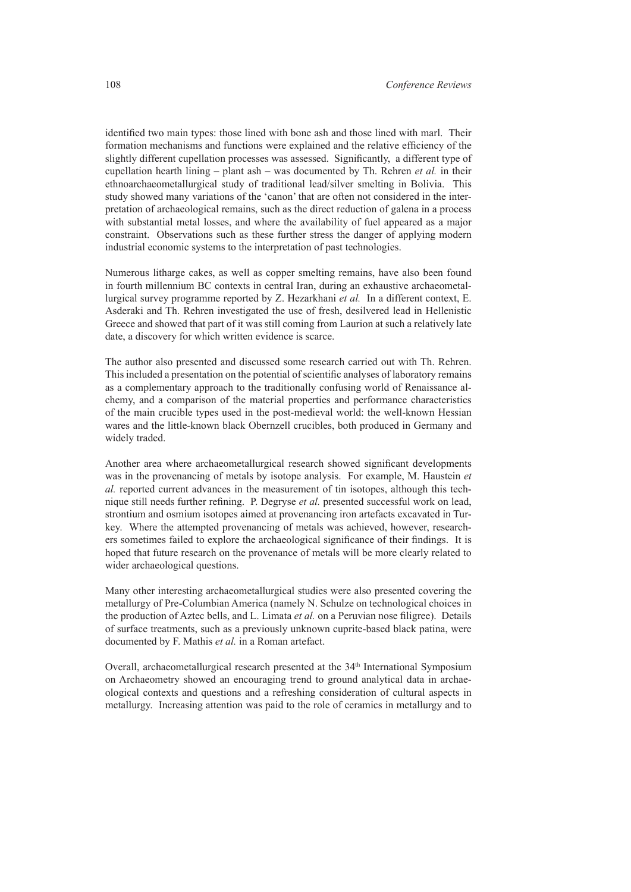identified two main types: those lined with bone ash and those lined with marl. Their formation mechanisms and functions were explained and the relative efficiency of the slightly different cupellation processes was assessed. Significantly, a different type of cupellation hearth lining – plant ash – was documented by Th. Rehren *et al.* in their ethnoarchaeometallurgical study of traditional lead/silver smelting in Bolivia. This study showed many variations of the 'canon' that are often not considered in the interpretation of archaeological remains, such as the direct reduction of galena in a process with substantial metal losses, and where the availability of fuel appeared as a major constraint. Observations such as these further stress the danger of applying modern industrial economic systems to the interpretation of past technologies.

Numerous litharge cakes, as well as copper smelting remains, have also been found in fourth millennium BC contexts in central Iran, during an exhaustive archaeometallurgical survey programme reported by Z. Hezarkhani *et al.* In a different context, E. Asderaki and Th. Rehren investigated the use of fresh, desilvered lead in Hellenistic Greece and showed that part of it was still coming from Laurion at such a relatively late date, a discovery for which written evidence is scarce.

The author also presented and discussed some research carried out with Th. Rehren. This included a presentation on the potential of scientific analyses of laboratory remains as a complementary approach to the traditionally confusing world of Renaissance alchemy, and a comparison of the material properties and performance characteristics of the main crucible types used in the post-medieval world: the well-known Hessian wares and the little-known black Obernzell crucibles, both produced in Germany and widely traded.

Another area where archaeometallurgical research showed significant developments was in the provenancing of metals by isotope analysis. For example, M. Haustein *et al.* reported current advances in the measurement of tin isotopes, although this technique still needs further refining. P. Degryse *et al.* presented successful work on lead, strontium and osmium isotopes aimed at provenancing iron artefacts excavated in Turkey. Where the attempted provenancing of metals was achieved, however, researchers sometimes failed to explore the archaeological significance of their findings. It is hoped that future research on the provenance of metals will be more clearly related to wider archaeological questions.

Many other interesting archaeometallurgical studies were also presented covering the metallurgy of Pre-Columbian America (namely N. Schulze on technological choices in the production of Aztec bells, and L. Limata *et al.* on a Peruvian nose filigree). Details of surface treatments, such as a previously unknown cuprite-based black patina, were documented by F. Mathis *et al.* in a Roman artefact.

Overall, archaeometallurgical research presented at the 34<sup>th</sup> International Symposium on Archaeometry showed an encouraging trend to ground analytical data in archaeological contexts and questions and a refreshing consideration of cultural aspects in metallurgy. Increasing attention was paid to the role of ceramics in metallurgy and to